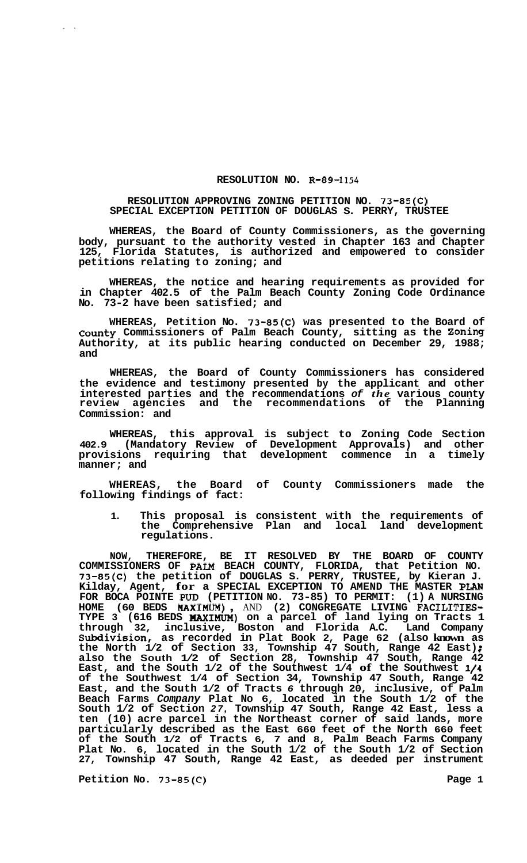## **RESOLUTION NO. R-89-1154**

## **RESOLUTION APPROVING ZONING PETITION NO. 73-85(C) SPECIAL EXCEPTION PETITION OF DOUGLAS S. PERRY, TRUSTEE**

**WHEREAS, the Board of County Commissioners, as the governing body, pursuant to the authority vested in Chapter 163 and Chapter 125, Florida Statutes, is authorized and empowered to consider petitions relating to zoning; and** 

**WHEREAS, the notice and hearing requirements as provided for in Chapter 402.5 of the Palm Beach County Zoning Code Ordinance No. 73-2 have been satisfied; and** 

**WHEREAS, Petition No. 73-85(C) was presented to the Board of county Commissioners of Palm Beach County, sitting as the Zoning Authority, at its public hearing conducted on December 29, 1988; and** 

**WHEREAS, the Board of County Commissioners has considered the evidence and testimony presented by the applicant and other interested parties and the recommendations** *of the* **various county review agencies and the recommendations of the Planning Commission: and** 

**WHEREAS, this approval is subject to Zoning Code Section 402.9 (Mandatory Review of Development Approvals) and other provisions requiring that development commence in a timely manner; and** 

**WHEREAS, the Board of County Commissioners made the following findings of fact:** 

**1. This proposal is consistent with the requirements of the Comprehensive Plan and local land development regulations.** 

**NOW, THEREFORE, BE IT RESOLVED BY THE BOARD OF COUNTY COMMISSIONERS OF PALM BEACH COUNTY, FLORIDA, that Petition NO. 73-85(C) the petition of DOUGLAS S. PERRY, TRUSTEE, by Kieran J. Kilday, Agent, for a SPECIAL EXCEPTION TO AMEND THE MASTER PLAN FOR BOCA POINTE PUD (PETITION NO. 73-85) TO PERMIT: (1) A NURSING**  FOR BOCA POINTE PUD (PETITION NO. 73-85) TO PERMIT: (1) A NURSING<br>HOME (60 BEDS **MAXIMUM)**, AND (2) CONGREGATE LIVING FACILITIES-**TYPE 3 (616 BEDS HAXIMUM) on a parcel of land lying on Tracts 1 through 32, inclusive, Boston and Florida A.C. Land Company Subdivision, as recorded in Plat Book 2, Page 62 (also known as the North 1/2 of Section 33, Township 47 South, Range 42 East)** ; **also the South 1/2 of Section 28, Township 47 South, Range 42 East, and the South 1/2 of the Southwest 1/4 of the Southwest 1/4 of the Southwest 1/4 of Section 34, Township 47 South, Range 42 East, and the South 1/2 of Tracts** *6* **through 20, inclusive, of Palm Beach Farms** *Company* **Plat No 6, located in the South 1/2 of the South 1/2 of Section** *27,* **Township 47 South, Range 42 East, less a ten (10) acre parcel in the Northeast corner of said lands, more particularly described as the East 660 feet of the North 660 feet of the South 1/2 of Tracts 6, 7 and 8, Palm Beach Farms Company Plat No. 6, located in the South 1/2 of the South 1/2 of Section 27, Township 47 South, Range 42 East, as deeded per instrument** 

**Petition No. 73-85(C)** 2 **Page 1 Page 1**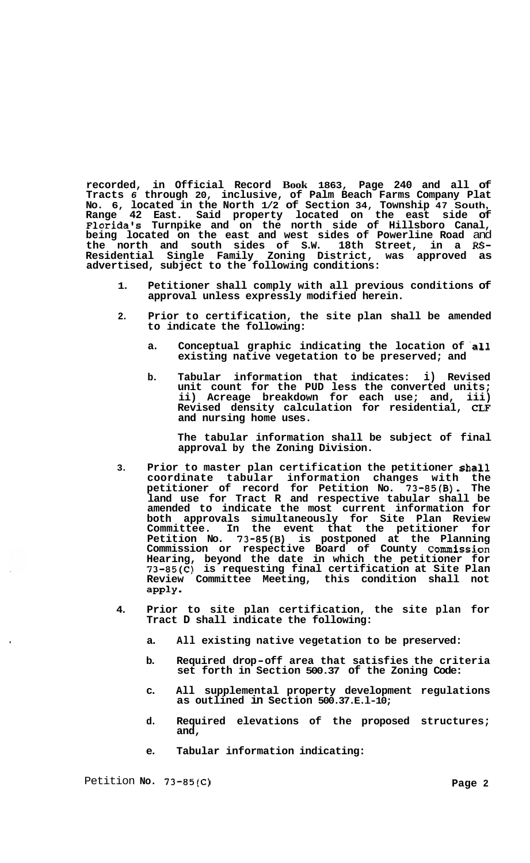**recorded, in Official Record Book 1863, Page 240 and all of Tracts** *6* **through 20, inclusive, of Palm Beach Farms Company Plat No. 6, located in the North 1/2 of Section 34, Township 47 South, Range 42 East. Said property located on the east side of Florida's Turnpike and on the north side of Hillsboro Canal, being located on the east and west sides of Powerline Road** and **the north and south sides of S.W. 18th Street, in a RS-Residential Single Family Zoning District, was approved as advertised, subject to the following conditions:** 

- **1. Petitioner shall comply with all previous conditions of approval unless expressly modified herein.**
- **2. Prior to certification, the site plan shall be amended to indicate the following:** 
	- a. Conceptual graphic indicating the location of all **existing native vegetation to be preserved; and**
	- **b. Tabular information that indicates: i) Revised unit count for the PUD less the converted units; ii) Acreage breakdown for each use; and, iii) Revised density calculation for residential,** *CLF*  **and nursing home uses.**

**The tabular information shall be subject of final approval by the Zoning Division.** 

- **3. Prior to master plan certification the petitioner shall coordinate tabular information changes with the petitioner of record for Petition No. 73-85(B). The land use for Tract R and respective tabular shall be amended to indicate the most current information for both approvals simultaneously for Site Plan Review Committee. In the event that the petitioner for Petition No. 73-85(B) is postponed at the Planning Commission or respective Board of County Commission Hearing, beyond the date in which the petitioner for 73-85(C) is requesting final certification at Site Plan Review Committee Meeting, this condition shall not apply**
- **4. Prior to site plan certification, the site plan for Tract D shall indicate the following:** 
	- **a. All existing native vegetation to be preserved:**
	- **b. Required drop-off area that satisfies the criteria set forth in Section 500.37 of the Zoning Code:**
	- **c. All supplemental property development regulations as outlined in Section 500.37.E.l-10;**
	- **d. Required elevations of the proposed structures; and,**
	- **e. Tabular information indicating:**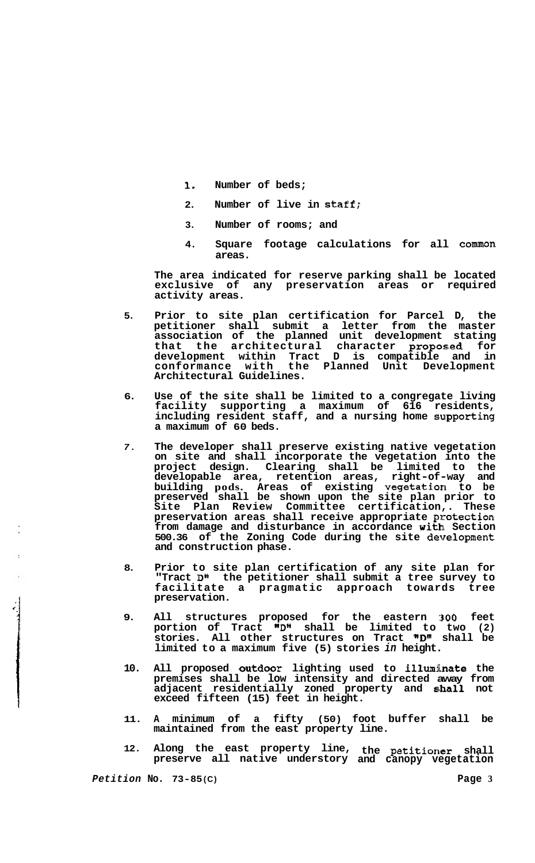- **1. Number of beds;**
- **2. Number of live in Staff;**
- **3. Number of rooms; and**
- **4. Square footage calculations for all common areas.**

**The area indicated for reserve parking shall be located exclusive of any preservation areas or required activity areas.** 

- **5. Prior to site plan certification for Parcel D, the petitioner shall submit a letter from the master association of the planned unit development stating**  that the architectural character proposed for **development within Tract D is compatible and in conformance with the Planned Unit Development Architectural Guidelines.**
- **6. Use of the site shall be limited to a congregate living facility supporting a maximum of 616 residents,**  including resident staff, and a nursing home supporting **a maximum of 60 beds.**
- *7.*  **The developer shall preserve existing native vegetation on site and shall incorporate the vegetation into the project design. Clearing shall be limited to the developable area, retention areas, right-of-way and building pods. Areas of existing vegetation to be preserved shall be shown upon the site plan prior to Site Plan Review Committee certification,. These**  preservation areas shall receive appropriate protection **from damage and disturbance in accordance with, Section 500.36 of the Zoning Code during the site development and construction phase.**
- **8. Prior to site plan certification of any site plan for "Tract D" the petitioner shall submit a tree survey to facilitate a pragmatic approach towards tree preservation.**
- **9. All structures proposed for the eastern ::300 feet portion of Tract nDw shall be limited to two (2) stories. All other structures on Tract nD" shall be limited to a maximum five (5) stories** *in* **height.**
- **10. All proposed outdoor lighting used to illurnhate the premises shall be low intensity and directed away from adjacent residentially zoned property and ahall not exceed fifteen (15) feet in height.**
- **11. A minimum of a fifty (50) foot buffer shall be maintained from the east property line.**
- **12. Along the east property line, the petitioner shall preserve all native understory and canopy vegetation**

*Petition* **No. 73-85 (C) Page 3** 

**c**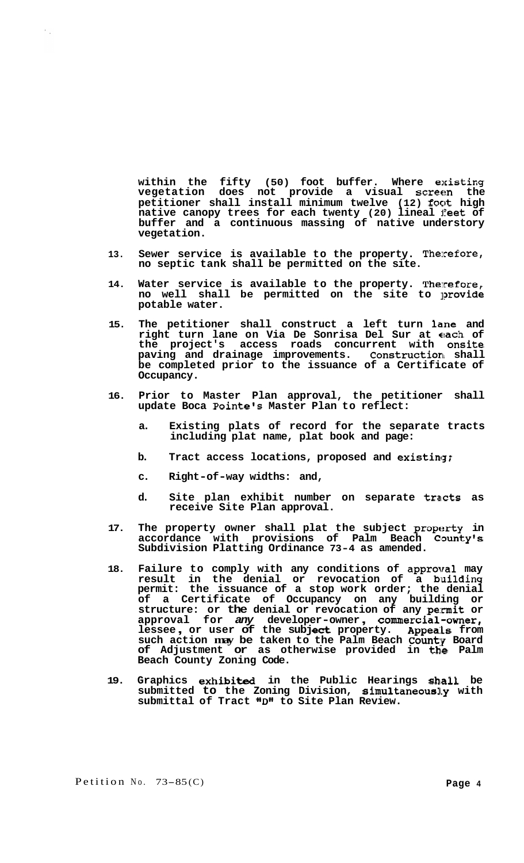**within the fifty (50) foot buffer. Where existing vegetation does not provide a visual screen the petitioner shall install minimum twelve (12) foot high**  native canopy trees for each twenty (20) lineal feet of **buffer and a continuous massing of native understory vegetation.** 

- **13. Sewer service is available to the property. Therefore, no septic tank shall be permitted on the site.**
- **14. Water service is available to the property. Therefore, no well shall be permitted on the site to provide potable water.**
- **15. The petitioner shall construct a left turn hne and right turn lane on Via De Sonrisa Del Sur at each of the project's access roads concurrent with onsite paving and drainage improvements. Construction shall be completed prior to the issuance of a Certificate of Occupancy.**
- **16. Prior to Master Plan approval, the petitioner shall update Boca Pointels Master Plan to reflect:** 
	- **a. Existing plats of record for the separate tracts including plat name, plat book and page:**
	- **b. Tract access locations, proposed and existiag;**
	- **c. Right-of-way widths: and,**
	- d. Site plan exhibit number on separate tracts as **receive Site Plan approval.**
- **17. The property owner shall plat the subject property in**  accordance with provisions of Palm Beach County's **Subdivision Platting Ordinance 73-4 as amended.**
- **18. Failure to comply with any conditions of approval may**  result in the denial or revocation of a building **permit: the issuance of a stop work order; the denial of a Certificate of Occupancy on any building or structure: or the denial or revocation of any pe::mit or approval for** *any* **developer-owner** , **commercial-owner,**  approval for any developer-owner, commercial-owner, lessee, or user of the subject property. Appeals from approval for *any* developer owner, commercial owner,<br>lessee, or user of the subject property. Appeals from<br>such action may be taken to the Palm Beach County Board **of Adjustment or as otherwise provided in the Palm Beach County Zoning Code.**
- 19. Graphics exhibited in the Public Hearings shall be submitted to the Zoning Division, simultaneously with **submittal of Tract "D1@ to Site Plan Review.**

 $\mathcal{F}_{\mathcal{A}}$